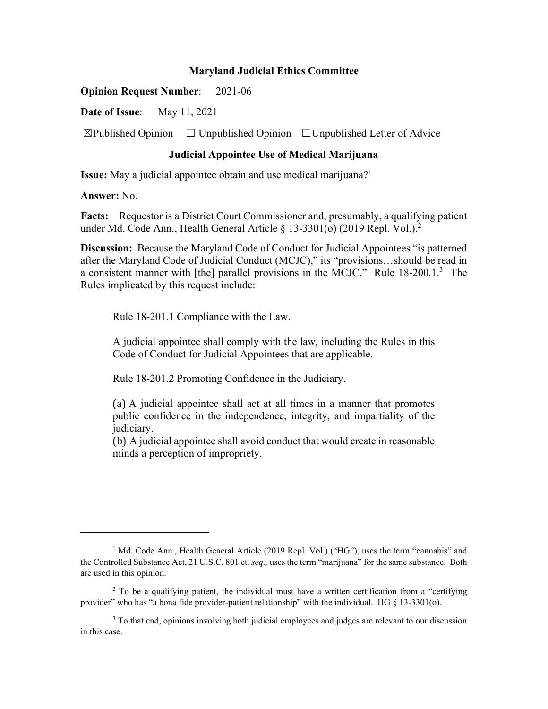## **Maryland Judicial Ethics Committee**

**Opinion Request Number**: 2021-06

**Date of Issue**: May 11, 2021

 $\boxtimes$ Published Opinion  $\Box$  Unpublished Opinion  $\Box$  Unpublished Letter of Advice

## **Judicial Appointee Use of Medical Marijuana**

**Issue:** May a judicial appointee obtain and use medical marijuana?<sup>1</sup>

**Answer:** No.

**Facts:** Requestor is a District Court Commissioner and, presumably, a qualifying patient under Md. Code Ann., Health General Article  $\S$  13-3301(o) (2019 Repl. Vol.).<sup>2</sup>

**Discussion:** Because the Maryland Code of Conduct for Judicial Appointees "is patterned after the Maryland Code of Judicial Conduct (MCJC)," its "provisions…should be read in a consistent manner with [the] parallel provisions in the MCJC." Rule 18-200.1.<sup>3</sup> The Rules implicated by this request include:

Rule 18-201.1 Compliance with the Law.

A judicial appointee shall comply with the law, including the Rules in this Code of Conduct for Judicial Appointees that are applicable.

Rule 18-201.2 Promoting Confidence in the Judiciary.

(a) A judicial appointee shall act at all times in a manner that promotes public confidence in the independence, integrity, and impartiality of the judiciary.

(b) A judicial appointee shall avoid conduct that would create in reasonable minds a perception of impropriety.

<sup>&</sup>lt;sup>1</sup> Md. Code Ann., Health General Article (2019 Repl. Vol.) ("HG"), uses the term "cannabis" and the Controlled Substance Act, 21 U.S.C. 801 et. *seq.,* uses the term "marijuana" for the same substance. Both are used in this opinion.

<sup>&</sup>lt;sup>2</sup> To be a qualifying patient, the individual must have a written certification from a "certifying provider" who has "a bona fide provider-patient relationship" with the individual. HG § 13-3301(o).

<sup>&</sup>lt;sup>3</sup> To that end, opinions involving both judicial employees and judges are relevant to our discussion in this case.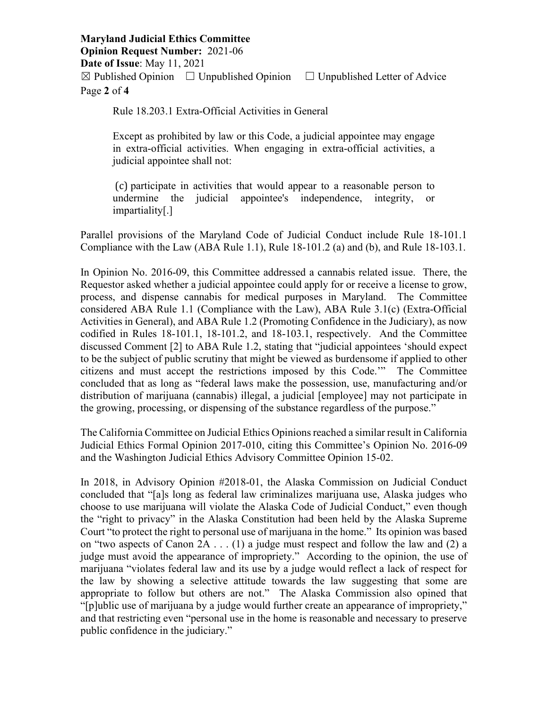**Maryland Judicial Ethics Committee Opinion Request Number:** 2021-06 **Date of Issue**: May 11, 2021  $\boxtimes$  Published Opinion  $\Box$  Unpublished Opinion  $\Box$  Unpublished Letter of Advice Page **2** of **4**

Rule 18.203.1 Extra-Official Activities in General

Except as prohibited by law or this Code, a judicial appointee may engage in extra-official activities. When engaging in extra-official activities, a judicial appointee shall not:

 (c) participate in activities that would appear to a reasonable person to undermine the judicial appointee's independence, integrity, or impartiality[.]

Parallel provisions of the Maryland Code of Judicial Conduct include Rule 18-101.1 Compliance with the Law (ABA Rule 1.1), Rule  $18-101.2$  (a) and (b), and Rule  $18-103.1$ .

In Opinion No. 2016-09, this Committee addressed a cannabis related issue. There, the Requestor asked whether a judicial appointee could apply for or receive a license to grow, process, and dispense cannabis for medical purposes in Maryland. The Committee considered ABA Rule 1.1 (Compliance with the Law), ABA Rule 3.1(c) (Extra-Official Activities in General), and ABA Rule 1.2 (Promoting Confidence in the Judiciary), as now codified in Rules 18-101.1, 18-101.2, and 18-103.1, respectively. And the Committee discussed Comment [2] to ABA Rule 1.2, stating that "judicial appointees 'should expect to be the subject of public scrutiny that might be viewed as burdensome if applied to other citizens and must accept the restrictions imposed by this Code.'" The Committee concluded that as long as "federal laws make the possession, use, manufacturing and/or distribution of marijuana (cannabis) illegal, a judicial [employee] may not participate in the growing, processing, or dispensing of the substance regardless of the purpose."

The California Committee on Judicial Ethics Opinions reached a similar result in California Judicial Ethics Formal Opinion 2017-010, citing this Committee's Opinion No. 2016-09 and the Washington Judicial Ethics Advisory Committee Opinion 15-02.

In 2018, in Advisory Opinion #2018-01, the Alaska Commission on Judicial Conduct concluded that "[a]s long as federal law criminalizes marijuana use, Alaska judges who choose to use marijuana will violate the Alaska Code of Judicial Conduct," even though the "right to privacy" in the Alaska Constitution had been held by the Alaska Supreme Court "to protect the right to personal use of marijuana in the home." Its opinion was based on "two aspects of Canon 2A . . . (1) a judge must respect and follow the law and (2) a judge must avoid the appearance of impropriety." According to the opinion, the use of marijuana "violates federal law and its use by a judge would reflect a lack of respect for the law by showing a selective attitude towards the law suggesting that some are appropriate to follow but others are not." The Alaska Commission also opined that "[p]ublic use of marijuana by a judge would further create an appearance of impropriety," and that restricting even "personal use in the home is reasonable and necessary to preserve public confidence in the judiciary."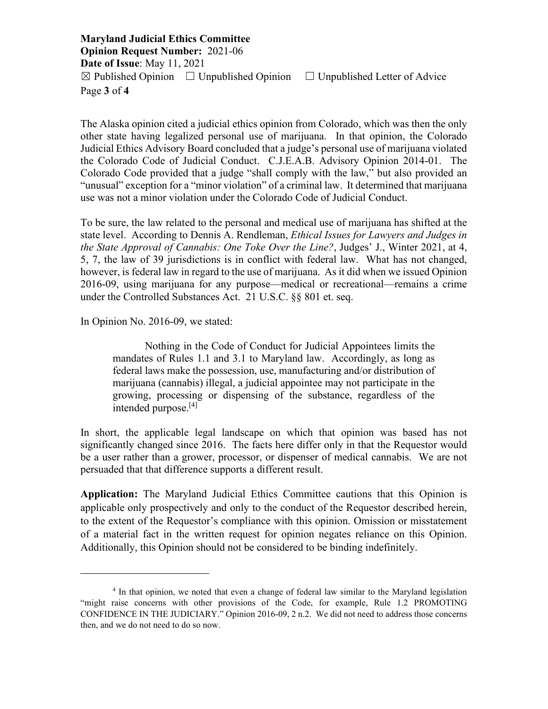**Maryland Judicial Ethics Committee Opinion Request Number:** 2021-06 **Date of Issue**: May 11, 2021  $\boxtimes$  Published Opinion  $\Box$  Unpublished Opinion  $\Box$  Unpublished Letter of Advice Page **3** of **4**

The Alaska opinion cited a judicial ethics opinion from Colorado, which was then the only other state having legalized personal use of marijuana. In that opinion, the Colorado Judicial Ethics Advisory Board concluded that a judge's personal use of marijuana violated the Colorado Code of Judicial Conduct. C.J.E.A.B. Advisory Opinion 2014-01. The Colorado Code provided that a judge "shall comply with the law," but also provided an "unusual" exception for a "minor violation" of a criminal law. It determined that marijuana use was not a minor violation under the Colorado Code of Judicial Conduct.

To be sure, the law related to the personal and medical use of marijuana has shifted at the state level. According to Dennis A. Rendleman, *Ethical Issues for Lawyers and Judges in the State Approval of Cannabis: One Toke Over the Line?*, Judges' J., Winter 2021, at 4, 5, 7, the law of 39 jurisdictions is in conflict with federal law. What has not changed, however, is federal law in regard to the use of marijuana. As it did when we issued Opinion 2016-09, using marijuana for any purpose—medical or recreational—remains a crime under the Controlled Substances Act. 21 U.S.C. §§ 801 et. seq.

In Opinion No. 2016-09, we stated:

Nothing in the Code of Conduct for Judicial Appointees limits the mandates of Rules 1.1 and 3.1 to Maryland law. Accordingly, as long as federal laws make the possession, use, manufacturing and/or distribution of marijuana (cannabis) illegal, a judicial appointee may not participate in the growing, processing or dispensing of the substance, regardless of the intended purpose.[4]

In short, the applicable legal landscape on which that opinion was based has not significantly changed since 2016. The facts here differ only in that the Requestor would be a user rather than a grower, processor, or dispenser of medical cannabis. We are not persuaded that that difference supports a different result.

**Application:** The Maryland Judicial Ethics Committee cautions that this Opinion is applicable only prospectively and only to the conduct of the Requestor described herein, to the extent of the Requestor's compliance with this opinion. Omission or misstatement of a material fact in the written request for opinion negates reliance on this Opinion. Additionally, this Opinion should not be considered to be binding indefinitely.

<sup>&</sup>lt;sup>4</sup> In that opinion, we noted that even a change of federal law similar to the Maryland legislation "might raise concerns with other provisions of the Code, for example, Rule 1.2 PROMOTING CONFIDENCE IN THE JUDICIARY." Opinion 2016-09, 2 n.2. We did not need to address those concerns then, and we do not need to do so now.